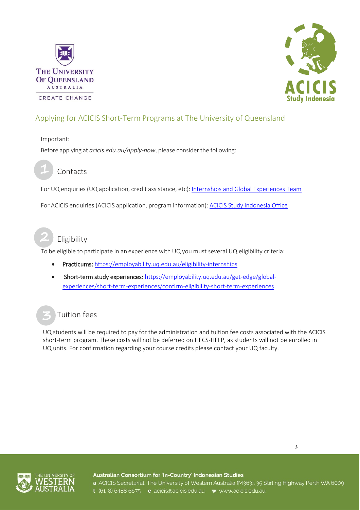



### Important:

Before applying at *[acicis.edu.au/apply-now](http://acicis.edu.au/apply-now)*, please consider the following:



### Contacts

For UQ enquiries (UQ application, credit assistance, etc): [Internships and Global Experiences Team](https://employability.uq.edu.au/global-experiences)

For ACICIS enquiries (ACICIS application, program information): ACICIS Study [Indonesia](https://www.acicis.edu.au/) Office



# Eligibility

To be eligible to participate in an experience with UQ you must several UQ eligibility criteria:

- Practicums[: https://employability.uq.edu.au/eligibility-internships](https://employability.uq.edu.au/eligibility-internships)
- Short-term study experiences[: https://employability.uq.edu.au/get-edge/global](https://employability.uq.edu.au/get-edge/global-experiences/short-term-experiences/confirm-eligibility-short-term-experiences)[experiences/short-term-experiences/confirm-eligibility-short-term-experiences](https://employability.uq.edu.au/get-edge/global-experiences/short-term-experiences/confirm-eligibility-short-term-experiences)

# Tuition fees

UQ students will be required to pay for the administration and tuition fee costs associated with the ACICIS short-term program. These costs will not be deferred on HECS-HELP, as students will not be enrolled in UQ units. For confirmation regarding your course credits please contact your UQ faculty.



Australian Consortium for 'In-Country' Indonesian Studies a ACICIS Secretariat, The University of Western Australia (M363), 35 Stirling Highway Perth WA 6009 t (61-8) 6488 6675 e acicis@acicis.edu.au w www.acicis.edu.au

1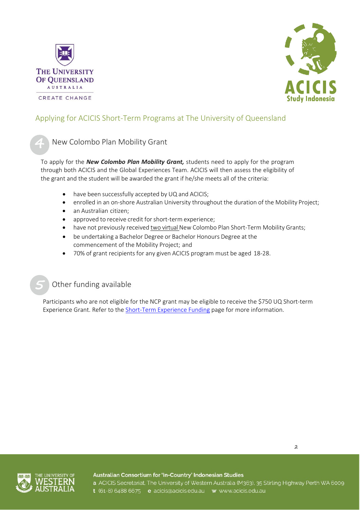



New Colombo Plan Mobility Grant

To apply for the *[New Colombo Plan Mobility Grant,](http://www.acicis.edu.au/study-in-indonesia/financial-help/)* students need to apply for the program through both ACICIS and the Global Experiences Team. ACICIS will then assess the eligibility of the grant and the student will be awarded the grant if he/she meets all of the criteria:

- have been successfully accepted by UQ and ACICIS;
- enrolled in an on-shore Australian University throughout the duration of the Mobility Project;
- an Australian citizen;
- approved to receive credit forshort-term experience;
- have not previously received two virtual New Colombo Plan Short-Term Mobility Grants;
- be undertaking a Bachelor Degree or Bachelor Honours Degree at the commencement of the Mobility Project; and
- 70% of grant recipients for any given ACICIS program must be aged 18-28.

### Other funding available

Participants who are not eligible for the NCP grant may be eligible to receive the \$750 UQ Short-term Experience Grant. Refer to the **Short-Term Experience Funding page for more information**.





Australian Consortium for 'In-Country' Indonesian Studies a ACICIS Secretariat, The University of Western Australia (M363), 35 Stirling Highway Perth WA 6009 t (61-8) 6488 6675 e acicis@acicis.edu.au w www.acicis.edu.au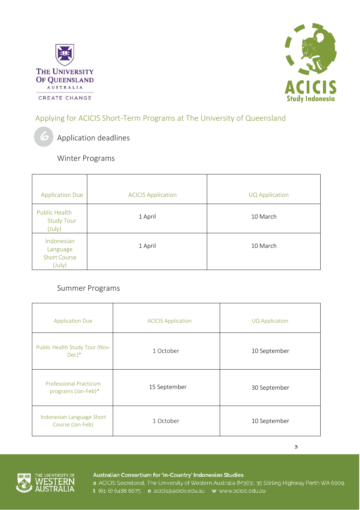



Application deadlines

### Winter Programs

| <b>Application Due</b>                                  | <b>ACICIS Application</b> | <b>UQ Application</b> |
|---------------------------------------------------------|---------------------------|-----------------------|
| <b>Public Health</b><br><b>Study Tour</b><br>(July)     | 1 April                   | 10 March              |
| Indonesian<br>Language<br><b>Short Course</b><br>(July) | 1 April                   | 10 March              |

### Summer Programs

| <b>Application Due</b>                               | <b>ACICIS Application</b> | <b>UQ Application</b> |
|------------------------------------------------------|---------------------------|-----------------------|
| Public Health Study Tour (Nov-<br>$Dec)*$            | 1 October                 | 10 September          |
| <b>Professional Practicum</b><br>programs (Jan-Feb)* | 15 September              | 30 September          |
| Indonesian Language Short<br>Course (Jan-Feb)        | 1 October                 | 10 September          |

3



#### Australian Consortium for 'In-Country' Indonesian Studies

a ACICIS Secretariat, The University of Western Australia (M363), 35 Stirling Highway Perth WA 6009 t (61-8) 6488 6675 e acicis@acicis.edu.au w www.acicis.edu.au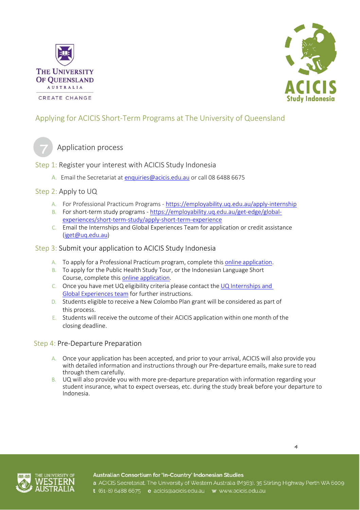



Application process

Step 1: Register your interest with ACICIS Study Indonesia

A. Email the Secretariat at [enquiries@acicis.edu.au](mailto:enquiries@acicis.edu.au) or call 08 6488 6675

### Step 2: Apply to UQ

- A. For Professional Practicum Programs <https://employability.uq.edu.au/apply-internship>
- B. For short-term study programs [https://employability.uq.edu.au/get-edge/global](https://employability.uq.edu.au/get-edge/global-experiences/short-term-study/apply-short-term-experience)[experiences/short-term-study/apply-short-term-experience](https://employability.uq.edu.au/get-edge/global-experiences/short-term-study/apply-short-term-experience)
- C. Email the Internships and Global Experiences Team for application or credit assistance [\(iget@uq.edu.au\)](mailto:iget@uq.edu.au)

### Step 3: Submit your application to ACICIS Study Indones[ia](https://sinet.uq.edu.au/)

- A. To apply for a Professional Practicum program, complete this online [application.](https://fs9.formsite.com/acicis/form41/form_login.html)
- B. To apply for the Public Health Study Tour, or the Indonesian Language Short Course, complete this [online application.](https://fs9.formsite.com/acicis/form47/form_login.html)
- C. Once you have met UQ eligibility criteria please contact the UQ [Internships and](mailto:iget@uq.edu.au)  [Global Experiences team](mailto:iget@uq.edu.au) for further instructions.
- D. Students eligible to receive a New Colombo Plan grant will be considered as part of this process.
- E. Students will receive the outcome of their ACICIS application within one month of the closing deadline.

### Step 4: Pre-Departure Preparation

- A. Once your application has been accepted, and prior to your arrival, ACICIS will also provide you with detailed information and instructions through our Pre-departure emails, make sure to read through them carefully.
- $B.$  UQ will also provide you with more pre-departure preparation with information regarding your student insurance, what to expect overseas, etc. during the study break before your departure to Indonesia.



#### Australian Consortium for 'In-Country' Indonesian Studies

a ACICIS Secretariat, The University of Western Australia (M363), 35 Stirling Highway Perth WA 6009 t (61-8) 6488 6675 e acicis@acicis.edu.au w www.acicis.edu.au

4